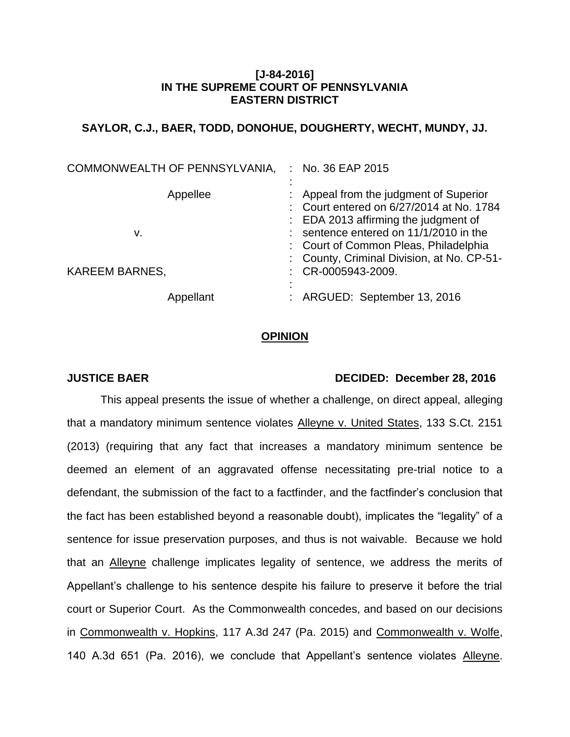## **[J-84-2016] IN THE SUPREME COURT OF PENNSYLVANIA EASTERN DISTRICT**

# **SAYLOR, C.J., BAER, TODD, DONOHUE, DOUGHERTY, WECHT, MUNDY, JJ.**

| COMMONWEALTH OF PENNSYLVANIA, | No. 36 EAP 2015                                                                                                                                                                                                    |
|-------------------------------|--------------------------------------------------------------------------------------------------------------------------------------------------------------------------------------------------------------------|
| Appellee<br>v.                | Appeal from the judgment of Superior<br>Court entered on 6/27/2014 at No. 1784<br>$\therefore$ EDA 2013 affirming the judgment of<br>sentence entered on 11/1/2010 in the<br>: Court of Common Pleas, Philadelphia |
| <b>KAREEM BARNES,</b>         | : County, Criminal Division, at No. CP-51-<br>CR-0005943-2009.                                                                                                                                                     |
| Appellant                     | ARGUED: September 13, 2016                                                                                                                                                                                         |

### **OPINION**

### **JUSTICE BAER DECIDED: December 28, 2016**

This appeal presents the issue of whether a challenge, on direct appeal, alleging that a mandatory minimum sentence violates Alleyne v. United States, 133 S.Ct. 2151 (2013) (requiring that any fact that increases a mandatory minimum sentence be deemed an element of an aggravated offense necessitating pre-trial notice to a defendant, the submission of the fact to a factfinder, and the factfinder's conclusion that the fact has been established beyond a reasonable doubt), implicates the "legality" of a sentence for issue preservation purposes, and thus is not waivable. Because we hold that an Alleyne challenge implicates legality of sentence, we address the merits of Appellant's challenge to his sentence despite his failure to preserve it before the trial court or Superior Court. As the Commonwealth concedes, and based on our decisions in Commonwealth v. Hopkins, 117 A.3d 247 (Pa. 2015) and Commonwealth v. Wolfe, 140 A.3d 651 (Pa. 2016), we conclude that Appellant's sentence violates Alleyne.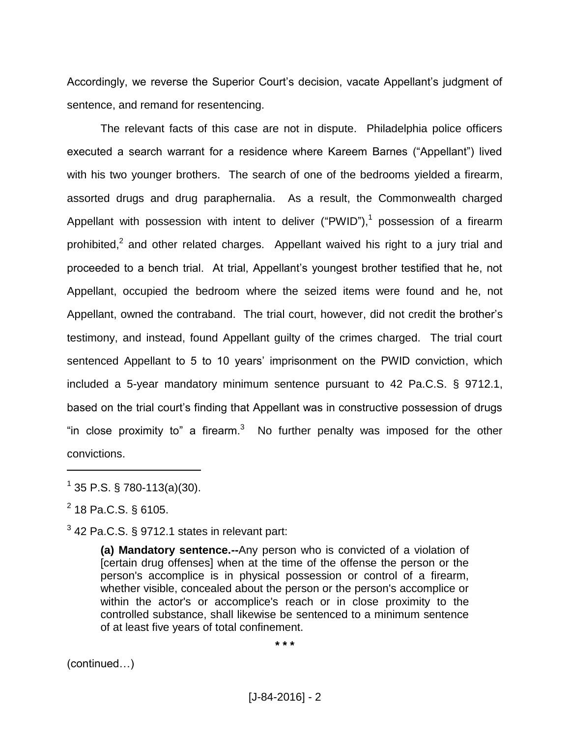Accordingly, we reverse the Superior Court's decision, vacate Appellant's judgment of sentence, and remand for resentencing.

The relevant facts of this case are not in dispute. Philadelphia police officers executed a search warrant for a residence where Kareem Barnes ("Appellant") lived with his two younger brothers. The search of one of the bedrooms yielded a firearm, assorted drugs and drug paraphernalia. As a result, the Commonwealth charged Appellant with possession with intent to deliver ("PWID"),<sup>1</sup> possession of a firearm prohibited,<sup>2</sup> and other related charges. Appellant waived his right to a jury trial and proceeded to a bench trial. At trial, Appellant's youngest brother testified that he, not Appellant, occupied the bedroom where the seized items were found and he, not Appellant, owned the contraband. The trial court, however, did not credit the brother's testimony, and instead, found Appellant guilty of the crimes charged. The trial court sentenced Appellant to 5 to 10 years' imprisonment on the PWID conviction, which included a 5-year mandatory minimum sentence pursuant to 42 Pa.C.S. § 9712.1, based on the trial court's finding that Appellant was in constructive possession of drugs "in close proximity to" a firearm. $3$  No further penalty was imposed for the other convictions.

 $^{2}$  18 Pa.C.S. § 6105.

 $\overline{a}$ 

 $3$  42 Pa.C.S. § 9712.1 states in relevant part:

**(a) Mandatory sentence.--**Any person who is convicted of a violation of [certain drug offenses] when at the time of the offense the person or the person's accomplice is in physical possession or control of a firearm, whether visible, concealed about the person or the person's accomplice or within the actor's or accomplice's reach or in close proximity to the controlled substance, shall likewise be sentenced to a minimum sentence of at least five years of total confinement.

**\* \* \***

(continued…)

 $1$  35 P.S. § 780-113(a)(30).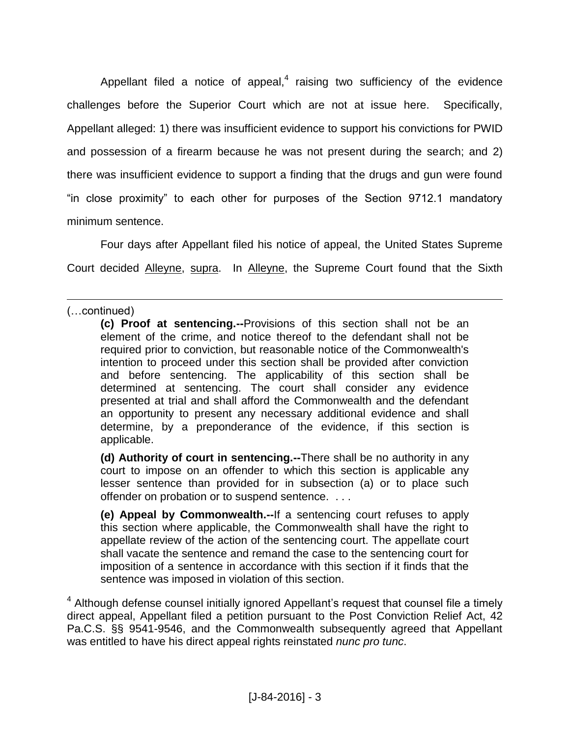Appellant filed a notice of appeal, $4$  raising two sufficiency of the evidence challenges before the Superior Court which are not at issue here. Specifically, Appellant alleged: 1) there was insufficient evidence to support his convictions for PWID and possession of a firearm because he was not present during the search; and 2) there was insufficient evidence to support a finding that the drugs and gun were found "in close proximity" to each other for purposes of the Section 9712.1 mandatory minimum sentence.

Four days after Appellant filed his notice of appeal, the United States Supreme Court decided Alleyne, supra. In Alleyne, the Supreme Court found that the Sixth

 $\overline{a}$ 

**(d) Authority of court in sentencing.--**There shall be no authority in any court to impose on an offender to which this section is applicable any lesser sentence than provided for in subsection (a) or to place such offender on probation or to suspend sentence. . . .

**(e) Appeal by Commonwealth.--**If a sentencing court refuses to apply this section where applicable, the Commonwealth shall have the right to appellate review of the action of the sentencing court. The appellate court shall vacate the sentence and remand the case to the sentencing court for imposition of a sentence in accordance with this section if it finds that the sentence was imposed in violation of this section.

<sup>4</sup> Although defense counsel initially ignored Appellant's request that counsel file a timely direct appeal, Appellant filed a petition pursuant to the Post Conviction Relief Act, 42 Pa.C.S. §§ 9541-9546, and the Commonwealth subsequently agreed that Appellant was entitled to have his direct appeal rights reinstated *nunc pro tunc*.

<sup>(…</sup>continued)

**<sup>(</sup>c) Proof at sentencing.--**Provisions of this section shall not be an element of the crime, and notice thereof to the defendant shall not be required prior to conviction, but reasonable notice of the Commonwealth's intention to proceed under this section shall be provided after conviction and before sentencing. The applicability of this section shall be determined at sentencing. The court shall consider any evidence presented at trial and shall afford the Commonwealth and the defendant an opportunity to present any necessary additional evidence and shall determine, by a preponderance of the evidence, if this section is applicable.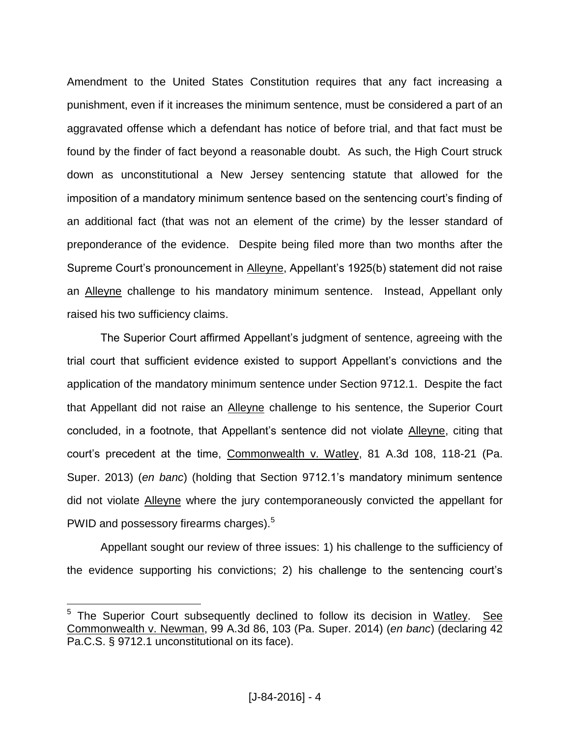Amendment to the United States Constitution requires that any fact increasing a punishment, even if it increases the minimum sentence, must be considered a part of an aggravated offense which a defendant has notice of before trial, and that fact must be found by the finder of fact beyond a reasonable doubt. As such, the High Court struck down as unconstitutional a New Jersey sentencing statute that allowed for the imposition of a mandatory minimum sentence based on the sentencing court's finding of an additional fact (that was not an element of the crime) by the lesser standard of preponderance of the evidence. Despite being filed more than two months after the Supreme Court's pronouncement in Alleyne, Appellant's 1925(b) statement did not raise an Alleyne challenge to his mandatory minimum sentence. Instead, Appellant only raised his two sufficiency claims.

The Superior Court affirmed Appellant's judgment of sentence, agreeing with the trial court that sufficient evidence existed to support Appellant's convictions and the application of the mandatory minimum sentence under Section 9712.1. Despite the fact that Appellant did not raise an Alleyne challenge to his sentence, the Superior Court concluded, in a footnote, that Appellant's sentence did not violate Alleyne, citing that court's precedent at the time, Commonwealth v. Watley, 81 A.3d 108, 118-21 (Pa. Super. 2013) (*en banc*) (holding that Section 9712.1's mandatory minimum sentence did not violate Alleyne where the jury contemporaneously convicted the appellant for PWID and possessory firearms charges). $5$ 

Appellant sought our review of three issues: 1) his challenge to the sufficiency of the evidence supporting his convictions; 2) his challenge to the sentencing court's

 $\overline{a}$ 

<sup>&</sup>lt;sup>5</sup> The Superior Court subsequently declined to follow its decision in Watley. See Commonwealth v. Newman, 99 A.3d 86, 103 (Pa. Super. 2014) (*en banc*) (declaring 42 Pa.C.S. § 9712.1 unconstitutional on its face).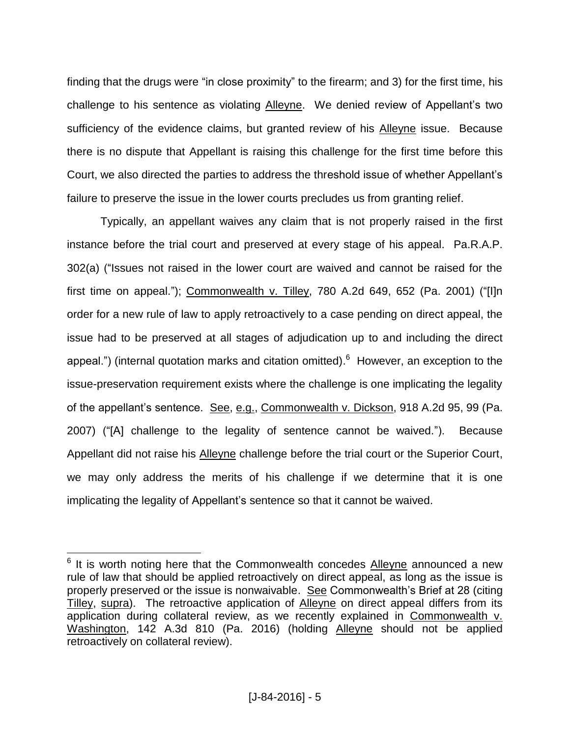finding that the drugs were "in close proximity" to the firearm; and 3) for the first time, his challenge to his sentence as violating Alleyne. We denied review of Appellant's two sufficiency of the evidence claims, but granted review of his Alleyne issue. Because there is no dispute that Appellant is raising this challenge for the first time before this Court, we also directed the parties to address the threshold issue of whether Appellant's failure to preserve the issue in the lower courts precludes us from granting relief.

Typically, an appellant waives any claim that is not properly raised in the first instance before the trial court and preserved at every stage of his appeal. Pa.R.A.P. 302(a) ("Issues not raised in the lower court are waived and cannot be raised for the first time on appeal."); Commonwealth v. Tilley, 780 A.2d 649, 652 (Pa. 2001) ("[I]n order for a new rule of law to apply retroactively to a case pending on direct appeal, the issue had to be preserved at all stages of adjudication up to and including the direct appeal.") (internal quotation marks and citation omitted).  $6$  However, an exception to the issue-preservation requirement exists where the challenge is one implicating the legality of the appellant's sentence. See, e.g., Commonwealth v. Dickson, 918 A.2d 95, 99 (Pa. 2007) ("[A] challenge to the legality of sentence cannot be waived."). Because Appellant did not raise his Alleyne challenge before the trial court or the Superior Court, we may only address the merits of his challenge if we determine that it is one implicating the legality of Appellant's sentence so that it cannot be waived.

 $\overline{a}$ 

 $6$  It is worth noting here that the Commonwealth concedes  $\Delta$ lleyne announced a new rule of law that should be applied retroactively on direct appeal, as long as the issue is properly preserved or the issue is nonwaivable. See Commonwealth's Brief at 28 (citing Tilley, supra). The retroactive application of Alleyne on direct appeal differs from its application during collateral review, as we recently explained in Commonwealth v. Washington, 142 A.3d 810 (Pa. 2016) (holding Alleyne should not be applied retroactively on collateral review).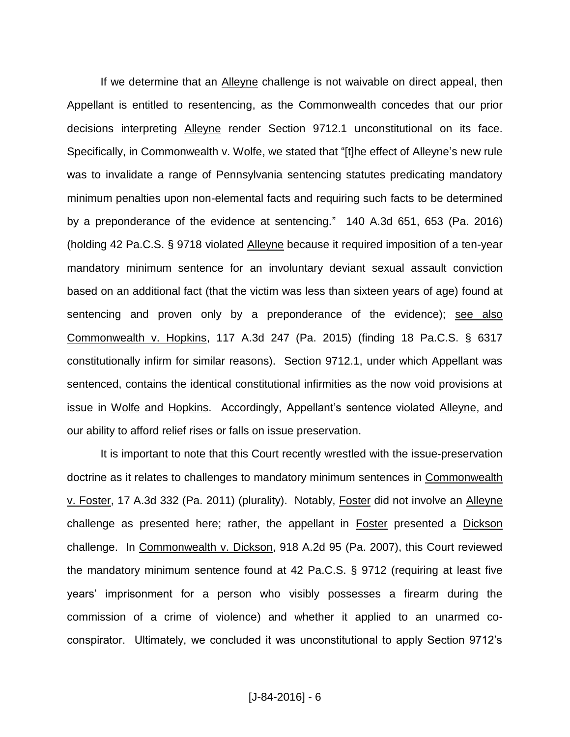If we determine that an Alleyne challenge is not waivable on direct appeal, then Appellant is entitled to resentencing, as the Commonwealth concedes that our prior decisions interpreting Alleyne render Section 9712.1 unconstitutional on its face. Specifically, in Commonwealth v. Wolfe, we stated that "[t]he effect of Alleyne's new rule was to invalidate a range of Pennsylvania sentencing statutes predicating mandatory minimum penalties upon non-elemental facts and requiring such facts to be determined by a preponderance of the evidence at sentencing." 140 A.3d 651, 653 (Pa. 2016) (holding 42 Pa.C.S. § 9718 violated Alleyne because it required imposition of a ten-year mandatory minimum sentence for an involuntary deviant sexual assault conviction based on an additional fact (that the victim was less than sixteen years of age) found at sentencing and proven only by a preponderance of the evidence); see also Commonwealth v. Hopkins, 117 A.3d 247 (Pa. 2015) (finding 18 Pa.C.S. § 6317 constitutionally infirm for similar reasons). Section 9712.1, under which Appellant was sentenced, contains the identical constitutional infirmities as the now void provisions at issue in Wolfe and Hopkins. Accordingly, Appellant's sentence violated Alleyne, and our ability to afford relief rises or falls on issue preservation.

It is important to note that this Court recently wrestled with the issue-preservation doctrine as it relates to challenges to mandatory minimum sentences in Commonwealth v. Foster, 17 A.3d 332 (Pa. 2011) (plurality). Notably, Foster did not involve an Alleyne challenge as presented here; rather, the appellant in Foster presented a Dickson challenge. In Commonwealth v. Dickson, 918 A.2d 95 (Pa. 2007), this Court reviewed the mandatory minimum sentence found at 42 Pa.C.S. § 9712 (requiring at least five years' imprisonment for a person who visibly possesses a firearm during the commission of a crime of violence) and whether it applied to an unarmed coconspirator. Ultimately, we concluded it was unconstitutional to apply Section 9712's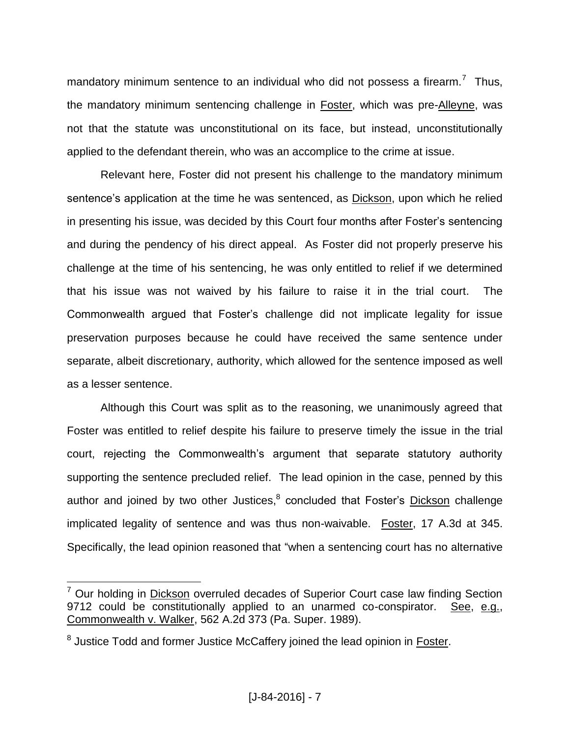mandatory minimum sentence to an individual who did not possess a firearm.<sup>7</sup> Thus, the mandatory minimum sentencing challenge in Foster, which was pre-Alleyne, was not that the statute was unconstitutional on its face, but instead, unconstitutionally applied to the defendant therein, who was an accomplice to the crime at issue.

Relevant here, Foster did not present his challenge to the mandatory minimum sentence's application at the time he was sentenced, as Dickson, upon which he relied in presenting his issue, was decided by this Court four months after Foster's sentencing and during the pendency of his direct appeal. As Foster did not properly preserve his challenge at the time of his sentencing, he was only entitled to relief if we determined that his issue was not waived by his failure to raise it in the trial court. The Commonwealth argued that Foster's challenge did not implicate legality for issue preservation purposes because he could have received the same sentence under separate, albeit discretionary, authority, which allowed for the sentence imposed as well as a lesser sentence.

Although this Court was split as to the reasoning, we unanimously agreed that Foster was entitled to relief despite his failure to preserve timely the issue in the trial court, rejecting the Commonwealth's argument that separate statutory authority supporting the sentence precluded relief. The lead opinion in the case, penned by this author and joined by two other Justices,<sup>8</sup> concluded that Foster's Dickson challenge implicated legality of sentence and was thus non-waivable. Foster, 17 A.3d at 345. Specifically, the lead opinion reasoned that "when a sentencing court has no alternative

 $\overline{a}$ 

 $<sup>7</sup>$  Our holding in Dickson overruled decades of Superior Court case law finding Section</sup> 9712 could be constitutionally applied to an unarmed co-conspirator. See, e.g., Commonwealth v. Walker, 562 A.2d 373 (Pa. Super. 1989).

<sup>&</sup>lt;sup>8</sup> Justice Todd and former Justice McCaffery joined the lead opinion in Foster.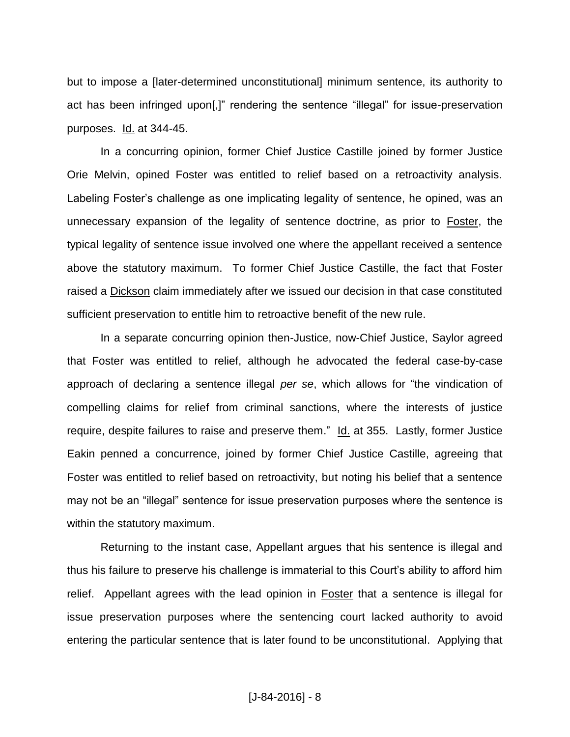but to impose a [later-determined unconstitutional] minimum sentence, its authority to act has been infringed upon[,]" rendering the sentence "illegal" for issue-preservation purposes. Id. at 344-45.

In a concurring opinion, former Chief Justice Castille joined by former Justice Orie Melvin, opined Foster was entitled to relief based on a retroactivity analysis. Labeling Foster's challenge as one implicating legality of sentence, he opined, was an unnecessary expansion of the legality of sentence doctrine, as prior to Foster, the typical legality of sentence issue involved one where the appellant received a sentence above the statutory maximum. To former Chief Justice Castille, the fact that Foster raised a Dickson claim immediately after we issued our decision in that case constituted sufficient preservation to entitle him to retroactive benefit of the new rule.

In a separate concurring opinion then-Justice, now-Chief Justice, Saylor agreed that Foster was entitled to relief, although he advocated the federal case-by-case approach of declaring a sentence illegal *per se*, which allows for "the vindication of compelling claims for relief from criminal sanctions, where the interests of justice require, despite failures to raise and preserve them." Id. at 355. Lastly, former Justice Eakin penned a concurrence, joined by former Chief Justice Castille, agreeing that Foster was entitled to relief based on retroactivity, but noting his belief that a sentence may not be an "illegal" sentence for issue preservation purposes where the sentence is within the statutory maximum.

Returning to the instant case, Appellant argues that his sentence is illegal and thus his failure to preserve his challenge is immaterial to this Court's ability to afford him relief. Appellant agrees with the lead opinion in **Foster** that a sentence is illegal for issue preservation purposes where the sentencing court lacked authority to avoid entering the particular sentence that is later found to be unconstitutional. Applying that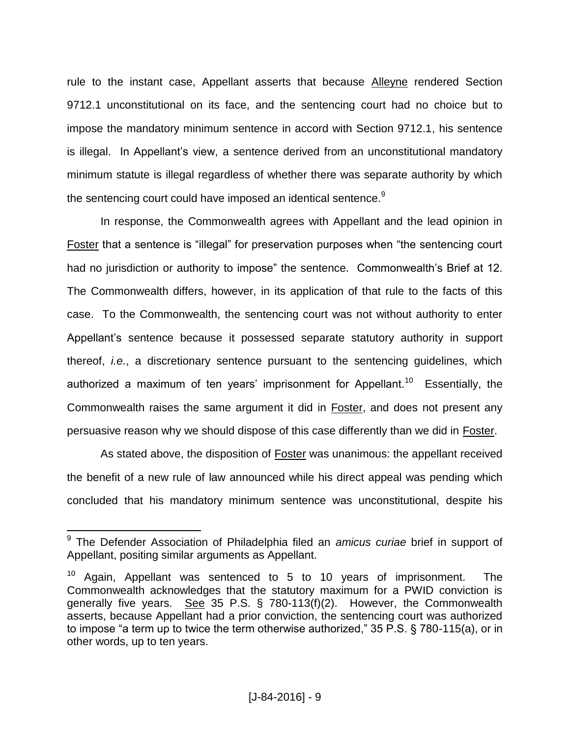rule to the instant case, Appellant asserts that because Alleyne rendered Section 9712.1 unconstitutional on its face, and the sentencing court had no choice but to impose the mandatory minimum sentence in accord with Section 9712.1, his sentence is illegal. In Appellant's view, a sentence derived from an unconstitutional mandatory minimum statute is illegal regardless of whether there was separate authority by which the sentencing court could have imposed an identical sentence.<sup>9</sup>

In response, the Commonwealth agrees with Appellant and the lead opinion in Foster that a sentence is "illegal" for preservation purposes when "the sentencing court had no jurisdiction or authority to impose" the sentence. Commonwealth's Brief at 12. The Commonwealth differs, however, in its application of that rule to the facts of this case. To the Commonwealth, the sentencing court was not without authority to enter Appellant's sentence because it possessed separate statutory authority in support thereof, *i.e.*, a discretionary sentence pursuant to the sentencing guidelines, which authorized a maximum of ten years' imprisonment for Appellant.<sup>10</sup> Essentially, the Commonwealth raises the same argument it did in Foster, and does not present any persuasive reason why we should dispose of this case differently than we did in Foster.

As stated above, the disposition of **Foster** was unanimous: the appellant received the benefit of a new rule of law announced while his direct appeal was pending which concluded that his mandatory minimum sentence was unconstitutional, despite his

 9 The Defender Association of Philadelphia filed an *amicus curiae* brief in support of Appellant, positing similar arguments as Appellant.

 $10$  Again, Appellant was sentenced to 5 to 10 years of imprisonment. The Commonwealth acknowledges that the statutory maximum for a PWID conviction is generally five years. See 35 P.S.  $\S$  780-113(f)(2). However, the Commonwealth asserts, because Appellant had a prior conviction, the sentencing court was authorized to impose "a term up to twice the term otherwise authorized," 35 P.S. § 780-115(a), or in other words, up to ten years.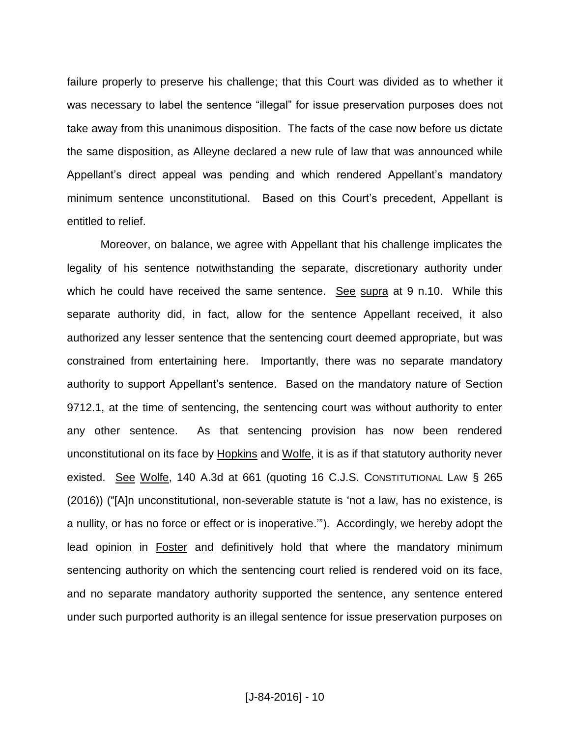failure properly to preserve his challenge; that this Court was divided as to whether it was necessary to label the sentence "illegal" for issue preservation purposes does not take away from this unanimous disposition. The facts of the case now before us dictate the same disposition, as Alleyne declared a new rule of law that was announced while Appellant's direct appeal was pending and which rendered Appellant's mandatory minimum sentence unconstitutional. Based on this Court's precedent, Appellant is entitled to relief.

Moreover, on balance, we agree with Appellant that his challenge implicates the legality of his sentence notwithstanding the separate, discretionary authority under which he could have received the same sentence. See supra at 9 n.10. While this separate authority did, in fact, allow for the sentence Appellant received, it also authorized any lesser sentence that the sentencing court deemed appropriate, but was constrained from entertaining here. Importantly, there was no separate mandatory authority to support Appellant's sentence. Based on the mandatory nature of Section 9712.1, at the time of sentencing, the sentencing court was without authority to enter any other sentence. As that sentencing provision has now been rendered unconstitutional on its face by Hopkins and Wolfe, it is as if that statutory authority never existed. See Wolfe, 140 A.3d at 661 (quoting 16 C.J.S. CONSTITUTIONAL LAW § 265 (2016)) ("[A]n unconstitutional, non-severable statute is 'not a law, has no existence, is a nullity, or has no force or effect or is inoperative.'"). Accordingly, we hereby adopt the lead opinion in **Foster** and definitively hold that where the mandatory minimum sentencing authority on which the sentencing court relied is rendered void on its face, and no separate mandatory authority supported the sentence, any sentence entered under such purported authority is an illegal sentence for issue preservation purposes on